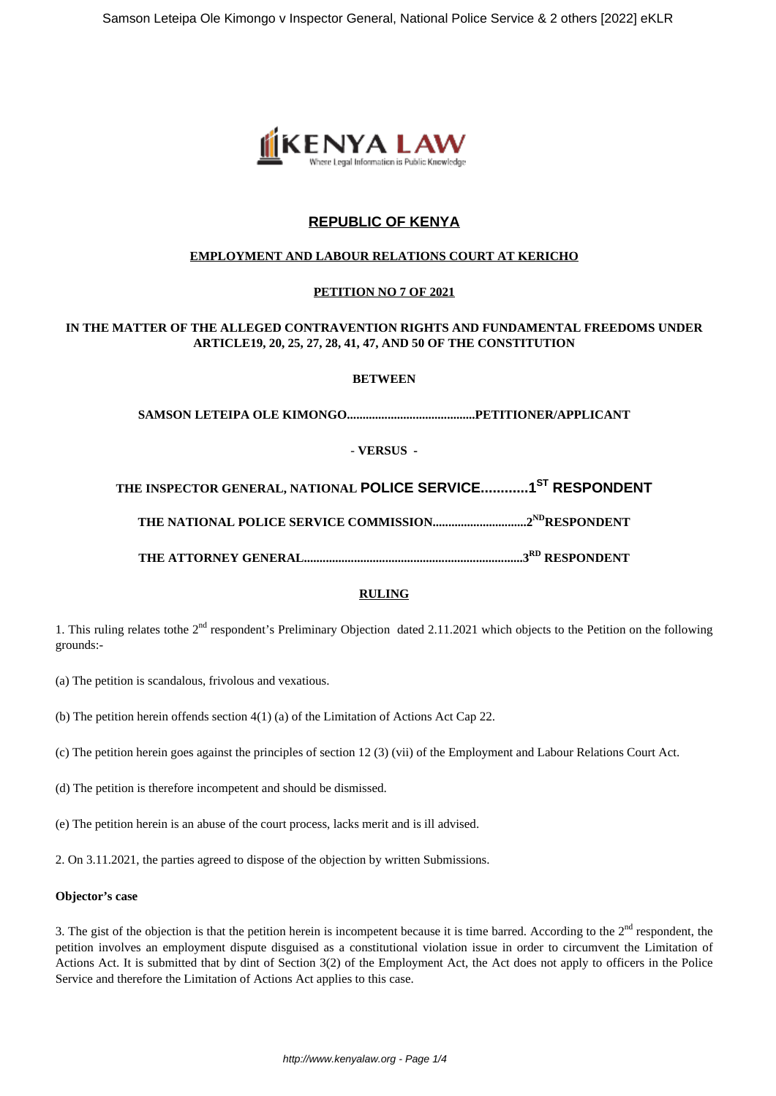

# **REPUBLIC OF KENYA**

## **EMPLOYMENT AND LABOUR RELATIONS COURT AT KERICHO**

## **PETITION NO 7 OF 2021**

## **IN THE MATTER OF THE ALLEGED CONTRAVENTION RIGHTS AND FUNDAMENTAL FREEDOMS UNDER ARTICLE19, 20, 25, 27, 28, 41, 47, AND 50 OF THE CONSTITUTION**

## **BETWEEN**

**SAMSON LETEIPA OLE KIMONGO.........................................PETITIONER/APPLICANT**

- **VERSUS -**

**THE INSPECTOR GENERAL, NATIONAL POLICE SERVICE............1ST RESPONDENT**

**THE NATIONAL POLICE SERVICE COMMISSION..............................2NDRESPONDENT**

**THE ATTORNEY GENERAL......................................................................3RD RESPONDENT**

## **RULING**

1. This ruling relates tothe 2<sup>nd</sup> respondent's Preliminary Objection dated 2.11.2021 which objects to the Petition on the following grounds:-

(a) The petition is scandalous, frivolous and vexatious.

(b) The petition herein offends section 4(1) (a) of the Limitation of Actions Act Cap 22.

(c) The petition herein goes against the principles of section 12 (3) (vii) of the Employment and Labour Relations Court Act.

(d) The petition is therefore incompetent and should be dismissed.

(e) The petition herein is an abuse of the court process, lacks merit and is ill advised.

2. On 3.11.2021, the parties agreed to dispose of the objection by written Submissions.

#### **Objector's case**

3. The gist of the objection is that the petition herein is incompetent because it is time barred. According to the  $2<sup>nd</sup>$  respondent, the petition involves an employment dispute disguised as a constitutional violation issue in order to circumvent the Limitation of Actions Act. It is submitted that by dint of Section 3(2) of the Employment Act, the Act does not apply to officers in the Police Service and therefore the Limitation of Actions Act applies to this case.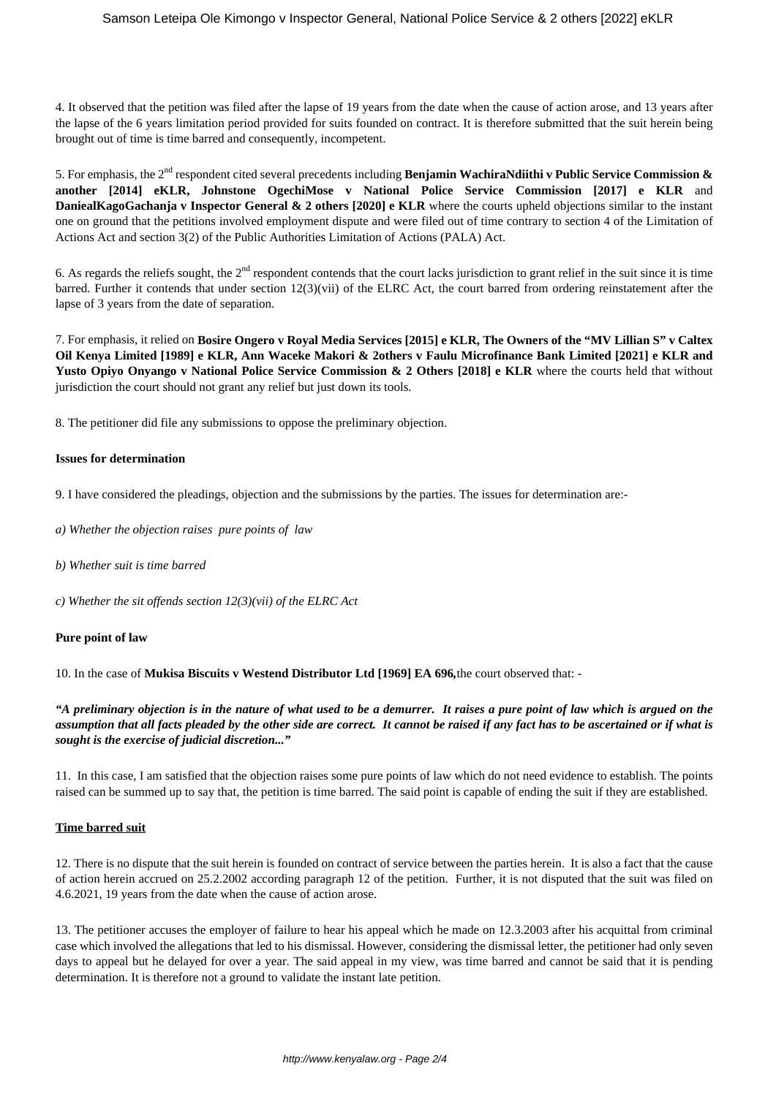4. It observed that the petition was filed after the lapse of 19 years from the date when the cause of action arose, and 13 years after the lapse of the 6 years limitation period provided for suits founded on contract. It is therefore submitted that the suit herein being brought out of time is time barred and consequently, incompetent.

5. For emphasis, the 2nd respondent cited several precedents including **Benjamin WachiraNdiithi v Public Service Commission & another [2014] eKLR, Johnstone OgechiMose v National Police Service Commission [2017] e KLR** and **DaniealKagoGachanja v Inspector General & 2 others [2020] e KLR** where the courts upheld objections similar to the instant one on ground that the petitions involved employment dispute and were filed out of time contrary to section 4 of the Limitation of Actions Act and section 3(2) of the Public Authorities Limitation of Actions (PALA) Act.

6. As regards the reliefs sought, the  $2<sup>nd</sup>$  respondent contends that the court lacks jurisdiction to grant relief in the suit since it is time barred. Further it contends that under section 12(3)(vii) of the ELRC Act, the court barred from ordering reinstatement after the lapse of 3 years from the date of separation.

7. For emphasis, it relied on **Bosire Ongero v Royal Media Services [2015] e KLR, The Owners of the "MV Lillian S" v Caltex Oil Kenya Limited [1989] e KLR, Ann Waceke Makori & 2others v Faulu Microfinance Bank Limited [2021] e KLR and** Yusto Opiyo Onyango v National Police Service Commission & 2 Others [2018] e KLR where the courts held that without jurisdiction the court should not grant any relief but just down its tools.

8. The petitioner did file any submissions to oppose the preliminary objection.

#### **Issues for determination**

9. I have considered the pleadings, objection and the submissions by the parties. The issues for determination are:-

- *a) Whether the objection raises pure points of law*
- *b) Whether suit is time barred*
- *c) Whether the sit offends section 12(3)(vii) of the ELRC Act*

#### **Pure point of law**

10. In the case of **Mukisa Biscuits v Westend Distributor Ltd [1969] EA 696***,*the court observed that: -

*"A preliminary objection is in the nature of what used to be a demurrer. It raises a pure point of law which is argued on the assumption that all facts pleaded by the other side are correct. It cannot be raised if any fact has to be ascertained or if what is sought is the exercise of judicial discretion..."*

11. In this case, I am satisfied that the objection raises some pure points of law which do not need evidence to establish. The points raised can be summed up to say that, the petition is time barred. The said point is capable of ending the suit if they are established.

#### **Time barred suit**

12. There is no dispute that the suit herein is founded on contract of service between the parties herein. It is also a fact that the cause of action herein accrued on 25.2.2002 according paragraph 12 of the petition. Further, it is not disputed that the suit was filed on 4.6.2021, 19 years from the date when the cause of action arose.

13. The petitioner accuses the employer of failure to hear his appeal which he made on 12.3.2003 after his acquittal from criminal case which involved the allegations that led to his dismissal. However, considering the dismissal letter, the petitioner had only seven days to appeal but he delayed for over a year. The said appeal in my view, was time barred and cannot be said that it is pending determination. It is therefore not a ground to validate the instant late petition.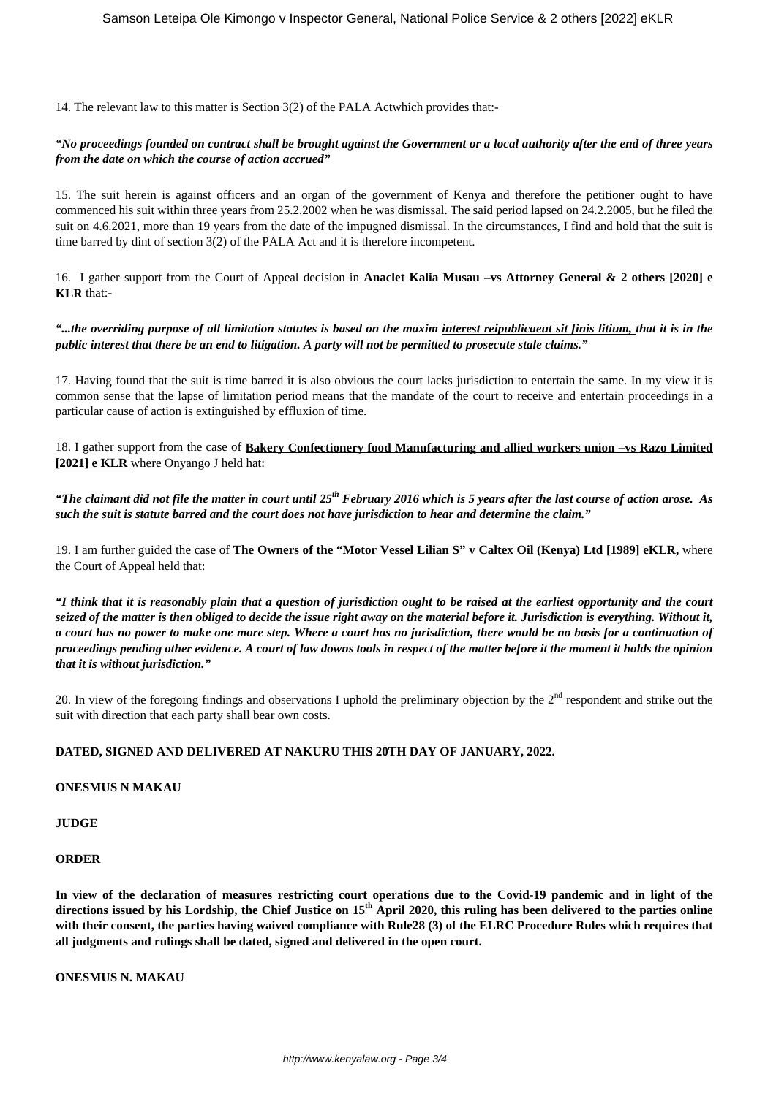14. The relevant law to this matter is Section 3(2) of the PALA Actwhich provides that:-

## *"No proceedings founded on contract shall be brought against the Government or a local authority after the end of three years from the date on which the course of action accrued"*

15. The suit herein is against officers and an organ of the government of Kenya and therefore the petitioner ought to have commenced his suit within three years from 25.2.2002 when he was dismissal. The said period lapsed on 24.2.2005, but he filed the suit on 4.6.2021, more than 19 years from the date of the impugned dismissal. In the circumstances, I find and hold that the suit is time barred by dint of section 3(2) of the PALA Act and it is therefore incompetent.

16. I gather support from the Court of Appeal decision in **Anaclet Kalia Musau –vs Attorney General & 2 others [2020] e KLR** that:-

## *"...the overriding purpose of all limitation statutes is based on the maxim interest reipublicaeut sit finis litium, that it is in the public interest that there be an end to litigation. A party will not be permitted to prosecute stale claims."*

17. Having found that the suit is time barred it is also obvious the court lacks jurisdiction to entertain the same. In my view it is common sense that the lapse of limitation period means that the mandate of the court to receive and entertain proceedings in a particular cause of action is extinguished by effluxion of time.

18. I gather support from the case of **Bakery Confectionery food Manufacturing and allied workers union –vs Razo Limited [2021] e KLR** where Onyango J held hat:

*"The claimant did not file the matter in court until 25th February 2016 which is 5 years after the last course of action arose. As such the suit is statute barred and the court does not have jurisdiction to hear and determine the claim."*

19. I am further guided the case of **The Owners of the "Motor Vessel Lilian S" v Caltex Oil (Kenya) Ltd [1989] eKLR,** where the Court of Appeal held that:

*"I think that it is reasonably plain that a question of jurisdiction ought to be raised at the earliest opportunity and the court seized of the matter is then obliged to decide the issue right away on the material before it. Jurisdiction is everything. Without it, a court has no power to make one more step. Where a court has no jurisdiction, there would be no basis for a continuation of proceedings pending other evidence. A court of law downs tools in respect of the matter before it the moment it holds the opinion that it is without jurisdiction."* 

20. In view of the foregoing findings and observations I uphold the preliminary objection by the  $2<sup>nd</sup>$  respondent and strike out the suit with direction that each party shall bear own costs.

## **DATED, SIGNED AND DELIVERED AT NAKURU THIS 20TH DAY OF JANUARY, 2022.**

**ONESMUS N MAKAU**

**JUDGE**

#### **ORDER**

**In view of the declaration of measures restricting court operations due to the Covid-19 pandemic and in light of the directions issued by his Lordship, the Chief Justice on 15th April 2020, this ruling has been delivered to the parties online with their consent, the parties having waived compliance with Rule28 (3) of the ELRC Procedure Rules which requires that all judgments and rulings shall be dated, signed and delivered in the open court.**

**ONESMUS N. MAKAU**